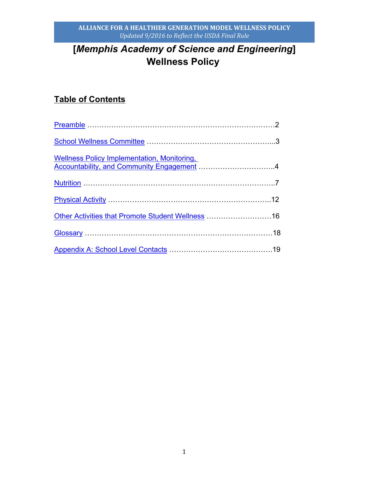# **[***Memphis Academy of Science and Engineering***] Wellness Policy**

## **Table of Contents**

| Wellness Policy Implementation, Monitoring,<br>Accountability, and Community Engagement 4 |  |
|-------------------------------------------------------------------------------------------|--|
|                                                                                           |  |
|                                                                                           |  |
| Other Activities that Promote Student Wellness  16                                        |  |
|                                                                                           |  |
|                                                                                           |  |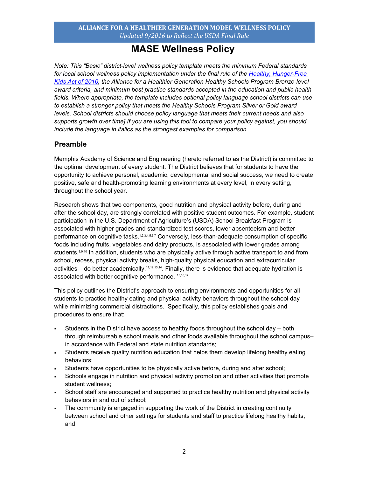## **MASE Wellness Policy**

*Note: This "Basic" district-level wellness policy template meets the minimum Federal standards for local school wellness policy implementation under the final rule of the Healthy, Hunger-Free Kids Act of 2010, the Alliance for a Healthier Generation Healthy Schools Program Bronze-level award criteria, and minimum best practice standards accepted in the education and public health fields. Where appropriate, the template includes optional policy language school districts can use*  to establish a stronger policy that meets the Healthy Schools Program Silver or Gold award *levels. School districts should choose policy language that meets their current needs and also supports growth over time] If you are using this tool to compare your policy against, you should include the language in italics as the strongest examples for comparison.* 

## **Preamble**

Memphis Academy of Science and Engineering (hereto referred to as the District) is committed to the optimal development of every student. The District believes that for students to have the opportunity to achieve personal, academic, developmental and social success, we need to create positive, safe and health-promoting learning environments at every level, in every setting, throughout the school year.

Research shows that two components, good nutrition and physical activity before, during and after the school day, are strongly correlated with positive student outcomes. For example, student participation in the U.S. Department of Agriculture's (USDA) School Breakfast Program is associated with higher grades and standardized test scores, lower absenteeism and better performance on cognitive tasks.1234567 Conversely, less-than-adequate consumption of specific foods including fruits, vegetables and dairy products, is associated with lower grades among students.<sup>8,9,10</sup> In addition, students who are physically active through active transport to and from school, recess, physical activity breaks, high-quality physical education and extracurricular activities  $-$  do better academically.<sup>11,12,13,14</sup>. Finally, there is evidence that adequate hydration is associated with better cognitive performance. 15,16,17

This policy outlines the District's approach to ensuring environments and opportunities for all students to practice healthy eating and physical activity behaviors throughout the school day while minimizing commercial distractions. Specifically, this policy establishes goals and procedures to ensure that:

- Students in the District have access to healthy foods throughout the school day both through reimbursable school meals and other foods available throughout the school campusin accordance with Federal and state nutrition standards;
- Students receive quality nutrition education that helps them develop lifelong healthy eating behaviors;
- Students have opportunities to be physically active before, during and after school;
- Schools engage in nutrition and physical activity promotion and other activities that promote student wellness;
- School staff are encouraged and supported to practice healthy nutrition and physical activity behaviors in and out of school;
- The community is engaged in supporting the work of the District in creating continuity between school and other settings for students and staff to practice lifelong healthy habits; and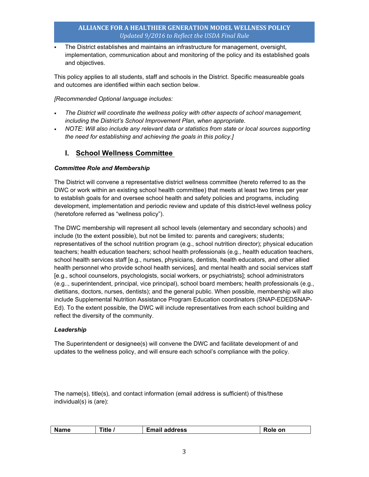The District establishes and maintains an infrastructure for management, oversight, implementation, communication about and monitoring of the policy and its established goals and objectives.

This policy applies to all students, staff and schools in the District. Specific measureable goals and outcomes are identified within each section below.

*[Recommended Optional language includes:*

- *The District will coordinate the wellness policy with other aspects of school management, including the District's School Improvement Plan, when appropriate.*
- **NOTE: Will also include any relevant data or statistics from state or local sources supporting** *the need for establishing and achieving the goals in this policy.]*

## **I. School Wellness Committee**

#### *Committee Role and Membership*

The District will convene a representative district wellness committee (hereto referred to as the DWC or work within an existing school health committee) that meets at least two times per year to establish goals for and oversee school health and safety policies and programs, including development, implementation and periodic review and update of this district-level wellness policy (heretofore referred as "wellness policy").

The DWC membership will represent all school levels (elementary and secondary schools) and include (to the extent possible), but not be limited to: parents and caregivers; students; representatives of the school nutrition program (e.g., school nutrition director); physical education teachers; health education teachers; school health professionals (e.g., health education teachers, school health services staff [e.g., nurses, physicians, dentists, health educators, and other allied health personnel who provide school health services], and mental health and social services staff [e.g., school counselors, psychologists, social workers, or psychiatrists]; school administrators (e.g.., superintendent, principal, vice principal), school board members; health professionals (e.g., dietitians, doctors, nurses, dentists); and the general public. When possible, membership will also include Supplemental Nutrition Assistance Program Education coordinators (SNAP-EDEDSNAP-Ed). To the extent possible, the DWC will include representatives from each school building and reflect the diversity of the community.

#### *Leadership*

The Superintendent or designee(s) will convene the DWC and facilitate development of and updates to the wellness policy, and will ensure each school's compliance with the policy.

The name(s), title(s), and contact information (email address is sufficient) of this/these individual(s) is (are):

| address<br>---<br>-----<br>ïtlc<br>.on<br>name<br>-шан |  |  |  |  |
|--------------------------------------------------------|--|--|--|--|
|--------------------------------------------------------|--|--|--|--|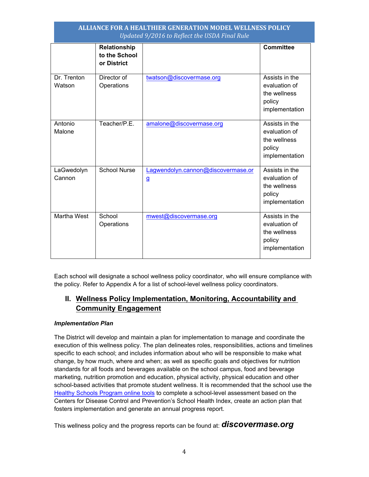|                       | Relationship<br>to the School<br>or District |                                                    | <b>Committee</b>                                                            |
|-----------------------|----------------------------------------------|----------------------------------------------------|-----------------------------------------------------------------------------|
| Dr. Trenton<br>Watson | Director of<br>Operations                    | twatson@discovermase.org                           | Assists in the<br>evaluation of<br>the wellness<br>policy<br>implementation |
| Antonio<br>Malone     | Teacher/P.E.                                 | amalone@discovermase.org                           | Assists in the<br>evaluation of<br>the wellness<br>policy<br>implementation |
| LaGwedolyn<br>Cannon  | <b>School Nurse</b>                          | Lagwendolyn.cannon@discovermase.or<br>$\mathbf{g}$ | Assists in the<br>evaluation of<br>the wellness<br>policy<br>implementation |
| Martha West           | School<br>Operations                         | mwest@discovermase.org                             | Assists in the<br>evaluation of<br>the wellness<br>policy<br>implementation |

Each school will designate a school wellness policy coordinator, who will ensure compliance with the policy. Refer to Appendix A for a list of school-level wellness policy coordinators.

## **II. Wellness Policy Implementation, Monitoring, Accountability and Community Engagement**

#### *Implementation Plan*

The District will develop and maintain a plan for implementation to manage and coordinate the execution of this wellness policy. The plan delineates roles, responsibilities, actions and timelines specific to each school; and includes information about who will be responsible to make what change, by how much, where and when; as well as specific goals and objectives for nutrition standards for all foods and beverages available on the school campus, food and beverage marketing, nutrition promotion and education, physical activity, physical education and other school-based activities that promote student wellness. It is recommended that the school use the Healthy Schools Program online tools to complete a school-level assessment based on the Centers for Disease Control and Prevention's School Health Index, create an action plan that fosters implementation and generate an annual progress report.

This wellness policy and the progress reports can be found at: *discovermase.org*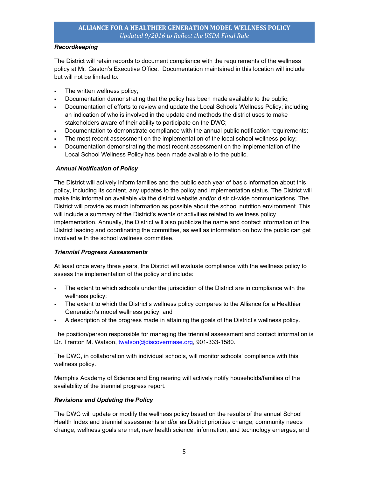#### *Recordkeeping*

The District will retain records to document compliance with the requirements of the wellness policy at Mr. Gaston's Executive Office. Documentation maintained in this location will include but will not be limited to:

- **The written wellness policy;**
- Documentation demonstrating that the policy has been made available to the public;
- Documentation of efforts to review and update the Local Schools Wellness Policy; including an indication of who is involved in the update and methods the district uses to make stakeholders aware of their ability to participate on the DWC;
- Documentation to demonstrate compliance with the annual public notification requirements;
- The most recent assessment on the implementation of the local school wellness policy;
- Documentation demonstrating the most recent assessment on the implementation of the Local School Wellness Policy has been made available to the public.

#### *Annual Notification of Policy*

The District will actively inform families and the public each year of basic information about this policy, including its content, any updates to the policy and implementation status. The District will make this information available via the district website and/or district-wide communications. The District will provide as much information as possible about the school nutrition environment. This will include a summary of the District's events or activities related to wellness policy implementation. Annually, the District will also publicize the name and contact information of the District leading and coordinating the committee, as well as information on how the public can get involved with the school wellness committee.

#### *Triennial Progress Assessments*

At least once every three years, the District will evaluate compliance with the wellness policy to assess the implementation of the policy and include:

- The extent to which schools under the jurisdiction of the District are in compliance with the wellness policy;
- The extent to which the District's wellness policy compares to the Alliance for a Healthier Generation's model wellness policy; and
- A description of the progress made in attaining the goals of the District's wellness policy.

The position/person responsible for managing the triennial assessment and contact information is Dr. Trenton M. Watson, twatson@discovermase.org, 901-333-1580.

The DWC, in collaboration with individual schools, will monitor schools' compliance with this wellness policy.

Memphis Academy of Science and Engineering will actively notify households/families of the availability of the triennial progress report.

#### *Revisions and Updating the Policy*

The DWC will update or modify the wellness policy based on the results of the annual School Health Index and triennial assessments and/or as District priorities change; community needs change; wellness goals are met; new health science, information, and technology emerges; and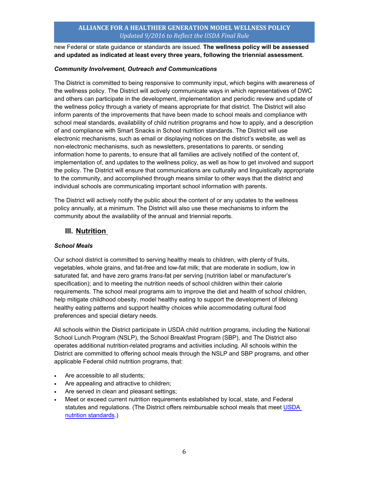new Federal or state guidance or standards are issued. **The wellness policy will be assessed and updated as indicated at least every three years, following the triennial assessment.**

#### *Community Involvement, Outreach and Communications*

The District is committed to being responsive to community input, which begins with awareness of the wellness policy. The District will actively communicate ways in which representatives of DWC and others can participate in the development, implementation and periodic review and update of the wellness policy through a variety of means appropriate for that district. The District will also inform parents of the improvements that have been made to school meals and compliance with school meal standards, availability of child nutrition programs and how to apply, and a description of and compliance with Smart Snacks in School nutrition standards. The District will use electronic mechanisms, such as email or displaying notices on the district's website, as well as non-electronic mechanisms, such as newsletters, presentations to parents, or sending information home to parents, to ensure that all families are actively notified of the content of, implementation of, and updates to the wellness policy, as well as how to get involved and support the policy. The District will ensure that communications are culturally and linguistically appropriate to the community, and accomplished through means similar to other ways that the district and individual schools are communicating important school information with parents.

The District will actively notify the public about the content of or any updates to the wellness policy annually, at a minimum. The District will also use these mechanisms to inform the community about the availability of the annual and triennial reports.

### **III. Nutrition**

#### *School Meals*

Our school district is committed to serving healthy meals to children, with plenty of fruits, vegetables, whole grains, and fat-free and low-fat milk; that are moderate in sodium, low in saturated fat, and have zero grams *trans*-fat per serving (nutrition label or manufacturer's specification); and to meeting the nutrition needs of school children within their calorie requirements. The school meal programs aim to improve the diet and health of school children, help mitigate childhood obesity, model healthy eating to support the development of lifelong healthy eating patterns and support healthy choices while accommodating cultural food preferences and special dietary needs.

All schools within the District participate in USDA child nutrition programs, including the National School Lunch Program (NSLP), the School Breakfast Program (SBP), and The District also operates additional nutrition-related programs and activities including. All schools within the District are committed to offering school meals through the NSLP and SBP programs, and other applicable Federal child nutrition programs, that:

- Are accessible to all students;
- Are appealing and attractive to children;
- Are served in clean and pleasant settings;
- Meet or exceed current nutrition requirements established by local, state, and Federal statutes and regulations. (The District offers reimbursable school meals that meet USDA nutrition standards.)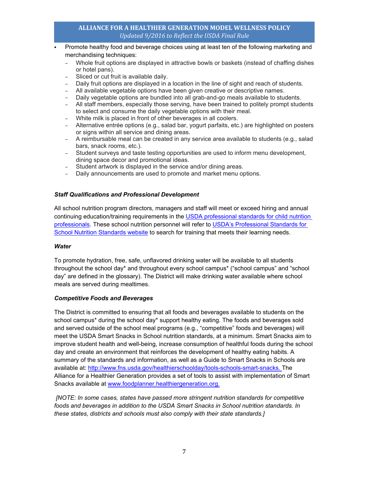- Promote healthy food and beverage choices using at least ten of the following marketing and merchandising techniques:
	- − Whole fruit options are displayed in attractive bowls or baskets (instead of chaffing dishes or hotel pans).
	- Sliced or cut fruit is available daily.
	- − Daily fruit options are displayed in a location in the line of sight and reach of students.
	- − All available vegetable options have been given creative or descriptive names.
	- − Daily vegetable options are bundled into all grab-and-go meals available to students.
	- − All staff members, especially those serving, have been trained to politely prompt students to select and consume the daily vegetable options with their meal.
	- − White milk is placed in front of other beverages in all coolers.
	- − Alternative entrée options (e.g., salad bar, yogurt parfaits, etc.) are highlighted on posters or signs within all service and dining areas.
	- − A reimbursable meal can be created in any service area available to students (e.g., salad bars, snack rooms, etc.).
	- − Student surveys and taste testing opportunities are used to inform menu development, dining space decor and promotional ideas.
	- − Student artwork is displayed in the service and/or dining areas.
	- − Daily announcements are used to promote and market menu options.

#### *Staff Qualifications and Professional Development*

All school nutrition program directors, managers and staff will meet or exceed hiring and annual continuing education/training requirements in the USDA professional standards for child nutrition professionals. These school nutrition personnel will refer to USDA's Professional Standards for School Nutrition Standards website to search for training that meets their learning needs.

#### *Water*

To promote hydration, free, safe, unflavored drinking water will be available to all students throughout the school day\* and throughout every school campus\* ("school campus" and "school day" are defined in the glossary). The District will make drinking water available where school meals are served during mealtimes.

#### *Competitive Foods and Beverages*

The District is committed to ensuring that all foods and beverages available to students on the school campus<sup>\*</sup> during the school day<sup>\*</sup> support healthy eating. The foods and beverages sold and served outside of the school meal programs (e.g., "competitive" foods and beverages) will meet the USDA Smart Snacks in School nutrition standards, at a minimum. Smart Snacks aim to improve student health and well-being, increase consumption of healthful foods during the school day and create an environment that reinforces the development of healthy eating habits. A summary of the standards and information, as well as a Guide to Smart Snacks in Schools are available at: http://www.fns.usda.gov/healthierschoolday/tools-schools-smart-snacks. The Alliance for a Healthier Generation provides a set of tools to assist with implementation of Smart Snacks available at www.foodplanner.healthiergeneration.org.

 *[NOTE: In some cases, states have passed more stringent nutrition standards for competitive foods and beverages in addition to the USDA Smart Snacks in School nutrition standards. In these states, districts and schools must also comply with their state standards.]*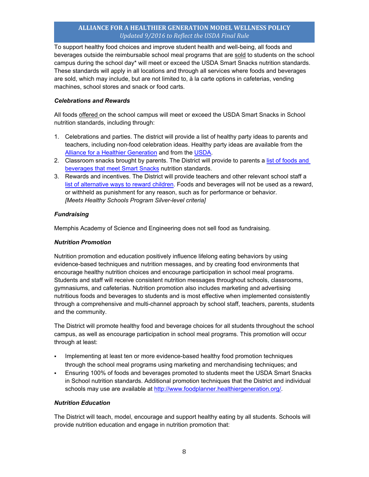To support healthy food choices and improve student health and well-being, all foods and beverages outside the reimbursable school meal programs that are sold to students on the school campus during the school day\* will meet or exceed the USDA Smart Snacks nutrition standards. These standards will apply in all locations and through all services where foods and beverages are sold, which may include, but are not limited to, à la carte options in cafeterias, vending machines, school stores and snack or food carts.

#### *Celebrations and Rewards*

All foods offered on the school campus will meet or exceed the USDA Smart Snacks in School nutrition standards, including through:

- 1. Celebrations and parties. The district will provide a list of healthy party ideas to parents and teachers, including non-food celebration ideas. Healthy party ideas are available from the Alliance for a Healthier Generation and from the USDA.<br>2. Classroom snacks brought by parents. The District will provide to parents a list of foods and
- beverages that meet Smart Snacks nutrition standards.
- 3. Rewards and incentives. The District will provide teachers and other relevant school staff a list of alternative ways to reward children. Foods and beverages will not be used as a reward, or withheld as punishment for any reason, such as for performance or behavior. *[Meets Healthy Schools Program Silver-level criteria]*

#### *Fundraising*

Memphis Academy of Science and Engineering does not sell food as fundraising.

#### *Nutrition Promotion*

Nutrition promotion and education positively influence lifelong eating behaviors by using evidence-based techniques and nutrition messages, and by creating food environments that encourage healthy nutrition choices and encourage participation in school meal programs. Students and staff will receive consistent nutrition messages throughout schools, classrooms, gymnasiums, and cafeterias. Nutrition promotion also includes marketing and advertising nutritious foods and beverages to students and is most effective when implemented consistently through a comprehensive and multi-channel approach by school staff, teachers, parents, students and the community.

The District will promote healthy food and beverage choices for all students throughout the school campus, as well as encourage participation in school meal programs. This promotion will occur through at least:

- Implementing at least ten or more evidence-based healthy food promotion techniques through the school meal programs using marketing and merchandising techniques; and
- Ensuring 100% of foods and beverages promoted to students meet the USDA Smart Snacks in School nutrition standards. Additional promotion techniques that the District and individual schools may use are available at http://www.foodplanner.healthiergeneration.org/

#### *Nutrition Education*

The District will teach, model, encourage and support healthy eating by all students. Schools will provide nutrition education and engage in nutrition promotion that: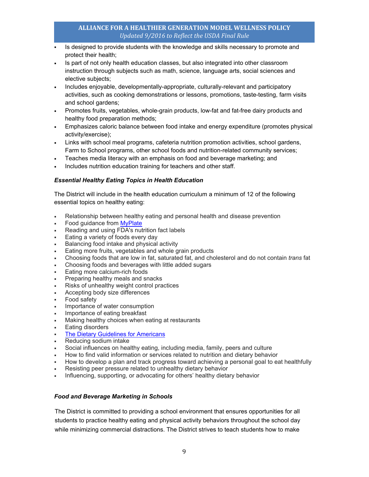- Is designed to provide students with the knowledge and skills necessary to promote and protect their health;
- Is part of not only health education classes, but also integrated into other classroom instruction through subjects such as math, science, language arts, social sciences and elective subjects;
- Includes enjoyable, developmentally-appropriate, culturally-relevant and participatory activities, such as cooking demonstrations or lessons, promotions, taste-testing, farm visits and school gardens;
- Promotes fruits, vegetables, whole-grain products, low-fat and fat-free dairy products and healthy food preparation methods;
- Emphasizes caloric balance between food intake and energy expenditure (promotes physical activity/exercise);
- Links with school meal programs, cafeteria nutrition promotion activities, school gardens, Farm to School programs, other school foods and nutrition-related community services;
- Teaches media literacy with an emphasis on food and beverage marketing; and
- Includes nutrition education training for teachers and other staff.

#### *Essential Healthy Eating Topics in Health Education*

The District will include in the health education curriculum a minimum of 12 of the following essential topics on healthy eating:

- Relationship between healthy eating and personal health and disease prevention
- Food guidance from MyPlate
- Reading and using FDA's nutrition fact labels
- Eating a variety of foods every day
- Balancing food intake and physical activity
- Eating more fruits, vegetables and whole grain products
- Choosing foods that are low in fat, saturated fat, and cholesterol and do not contain *trans* fat
- Choosing foods and beverages with little added sugars
- Eating more calcium-rich foods
- Preparing healthy meals and snacks
- Risks of unhealthy weight control practices
- Accepting body size differences
- Food safety
- Importance of water consumption
- Importance of eating breakfast
- Making healthy choices when eating at restaurants
- Eating disorders
- The Dietary Guidelines for Americans
- Reducing sodium intake
- Social influences on healthy eating, including media, family, peers and culture
- How to find valid information or services related to nutrition and dietary behavior
- How to develop a plan and track progress toward achieving a personal goal to eat healthfully
- Resisting peer pressure related to unhealthy dietary behavior
- Influencing, supporting, or advocating for others' healthy dietary behavior

#### *Food and Beverage Marketing in Schools*

The District is committed to providing a school environment that ensures opportunities for all students to practice healthy eating and physical activity behaviors throughout the school day while minimizing commercial distractions. The District strives to teach students how to make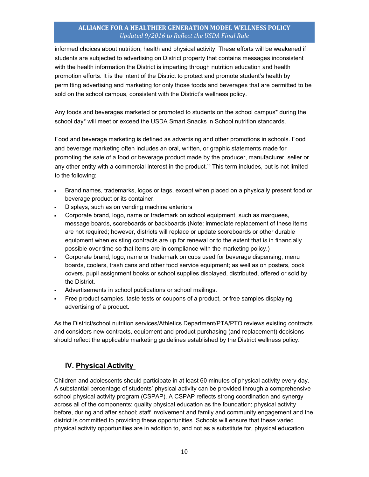informed choices about nutrition, health and physical activity. These efforts will be weakened if students are subjected to advertising on District property that contains messages inconsistent with the health information the District is imparting through nutrition education and health promotion efforts. It is the intent of the District to protect and promote student's health by permitting advertising and marketing for only those foods and beverages that are permitted to be sold on the school campus, consistent with the District's wellness policy.

Any foods and beverages marketed or promoted to students on the school campus\* during the school day\* will meet or exceed the USDA Smart Snacks in School nutrition standards.

Food and beverage marketing is defined as advertising and other promotions in schools. Food and beverage marketing often includes an oral, written, or graphic statements made for promoting the sale of a food or beverage product made by the producer, manufacturer, seller or any other entity with a commercial interest in the product.<sup>15</sup> This term includes, but is not limited to the following:

- Brand names, trademarks, logos or tags, except when placed on a physically present food or beverage product or its container.
- Displays, such as on vending machine exteriors
- Corporate brand, logo, name or trademark on school equipment, such as marquees, message boards, scoreboards or backboards (Note: immediate replacement of these items are not required; however, districts will replace or update scoreboards or other durable equipment when existing contracts are up for renewal or to the extent that is in financially possible over time so that items are in compliance with the marketing policy.)
- Corporate brand, logo, name or trademark on cups used for beverage dispensing, menu boards, coolers, trash cans and other food service equipment; as well as on posters, book covers, pupil assignment books or school supplies displayed, distributed, offered or sold by the District.
- Advertisements in school publications or school mailings.
- Free product samples, taste tests or coupons of a product, or free samples displaying advertising of a product.

As the District/school nutrition services/Athletics Department/PTA/PTO reviews existing contracts and considers new contracts, equipment and product purchasing (and replacement) decisions should reflect the applicable marketing guidelines established by the District wellness policy.

## **IV. Physical Activity**

Children and adolescents should participate in at least 60 minutes of physical activity every day. A substantial percentage of students' physical activity can be provided through a comprehensive school physical activity program (CSPAP). A CSPAP reflects strong coordination and synergy across all of the components: quality physical education as the foundation; physical activity before, during and after school; staff involvement and family and community engagement and the district is committed to providing these opportunities. Schools will ensure that these varied physical activity opportunities are in addition to, and not as a substitute for, physical education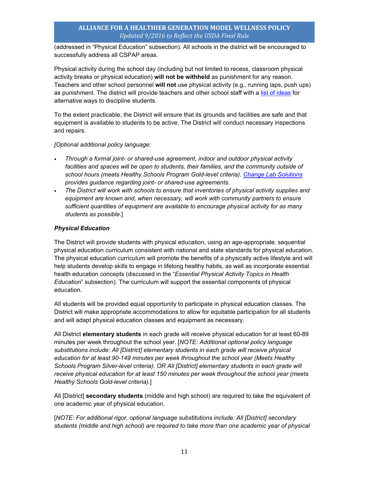(addressed in "Physical Education" subsection). All schools in the district will be encouraged to successfully address all CSPAP areas.

Physical activity during the school day (including but not limited to recess, classroom physical activity breaks or physical education) **will not be withheld** as punishment for any reason. Teachers and other school personnel **will not** use physical activity (e.g., running laps, push ups) as punishment. The district will provide teachers and other school staff with a list of ideas for alternative ways to discipline students.

To the extent practicable, the District will ensure that its grounds and facilities are safe and that equipment is available to students to be active. The District will conduct necessary inspections and repairs.

*[Optional additional policy language:* 

- *Through a formal joint- or shared-use agreement, indoor and outdoor physical activity*  facilities and spaces will be open to students, their families, and the community outside of *school hours (meets Healthy Schools Program Gold-level criteria). Change Lab Solutions provides guidance regarding joint- or shared-use agreements.*
- *The District will work with schools to ensure that inventories of physical activity supplies and equipment are known and, when necessary, will work with community partners to ensure sufficient quantities of equipment are available to encourage physical activity for as many students as possible*.]

#### *Physical Education*

The District will provide students with physical education, using an age-appropriate, sequential physical education curriculum consistent with national and state standards for physical education. The physical education curriculum will promote the benefits of a physically active lifestyle and will help students develop skills to engage in lifelong healthy habits, as well as incorporate essential health education concepts (discussed in the "*Essential Physical Activity Topics in Health Education*" subsection). The curriculum will support the essential components of physical education.

All students will be provided equal opportunity to participate in physical education classes. The District will make appropriate accommodations to allow for equitable participation for all students and will adapt physical education classes and equipment as necessary.

All District **elementary students** in each grade will receive physical education for at least 60-89 minutes per week throughout the school year. [*NOTE: Additional optional policy language substitutions include: All [District] elementary students in each grade will receive physical education for at least 90-149 minutes per week throughout the school year (Meets Healthy Schools Program Silver-level criteria). OR All [District] elementary students in each grade will receive physical education for at least 150 minutes per week throughout the school year (meets Healthy Schools Gold-level criteria).*]

All [District] **secondary students** (middle and high school) are required to take the equivalent of one academic year of physical education.

[*NOTE: For additional rigor, optional language substitutions include: All [District] secondary students (middle and high school) are required to take more than one academic year of physical*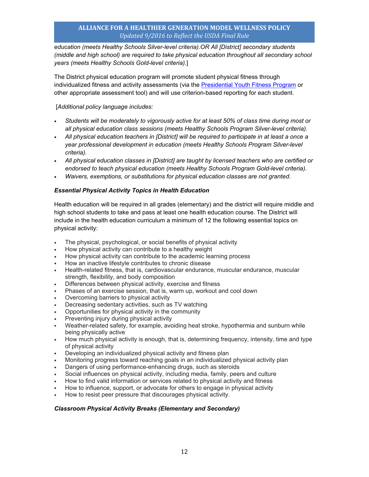*education (meets Healthy Schools Silver-level criteria).OR All [District] secondary students (middle and high school) are required to take physical education throughout all secondary school years (meets Healthy Schools Gold-level criteria).*]

The District physical education program will promote student physical fitness through individualized fitness and activity assessments (via the Presidential Youth Fitness Program or other appropriate assessment tool) and will use criterion-based reporting for each student.

#### [*Additional policy language includes:*

- *Students will be moderately to vigorously active for at least 50% of class time during most or all physical education class sessions (meets Healthy Schools Program Silver-level criteria).*
- *All physical education teachers in [District] will be required to participate in at least a once a year professional development in education (meets Healthy Schools Program Silver-level criteria).*
- *All physical education classes in [District] are taught by licensed teachers who are certified or endorsed to teach physical education (meets Healthy Schools Program Gold-level criteria).*
- *Waivers, exemptions, or substitutions for physical education classes are not granted.*

#### *Essential Physical Activity Topics in Health Education*

Health education will be required in all grades (elementary) and the district will require middle and high school students to take and pass at least one health education course. The District will include in the health education curriculum a minimum of 12 the following essential topics on physical activity:

- The physical, psychological, or social benefits of physical activity
- How physical activity can contribute to a healthy weight
- How physical activity can contribute to the academic learning process
- How an inactive lifestyle contributes to chronic disease
- Health-related fitness, that is, cardiovascular endurance, muscular endurance, muscular strength, flexibility, and body composition
- Differences between physical activity, exercise and fitness
- Phases of an exercise session, that is, warm up, workout and cool down
- Overcoming barriers to physical activity
- Decreasing sedentary activities, such as TV watching
- Opportunities for physical activity in the community
- Preventing injury during physical activity
- Weather-related safety, for example, avoiding heat stroke, hypothermia and sunburn while being physically active
- How much physical activity is enough, that is, determining frequency, intensity, time and type of physical activity
- Developing an individualized physical activity and fitness plan
- Monitoring progress toward reaching goals in an individualized physical activity plan
- Dangers of using performance-enhancing drugs, such as steroids
- Social influences on physical activity, including media, family, peers and culture
- How to find valid information or services related to physical activity and fitness
- How to influence, support, or advocate for others to engage in physical activity
- How to resist peer pressure that discourages physical activity.

#### *Classroom Physical Activity Breaks (Elementary and Secondary)*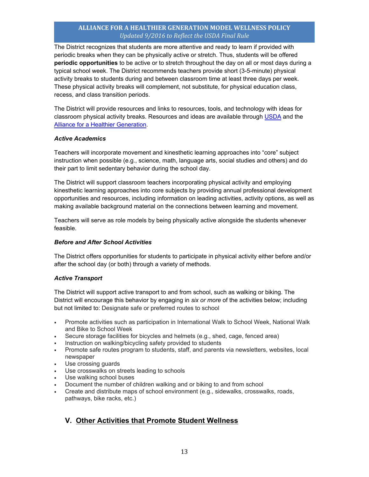The District recognizes that students are more attentive and ready to learn if provided with periodic breaks when they can be physically active or stretch. Thus, students will be offered **periodic opportunities** to be active or to stretch throughout the day on all or most days during a typical school week. The District recommends teachers provide short (3-5-minute) physical activity breaks to students during and between classroom time at least three days per week. These physical activity breaks will complement, not substitute, for physical education class, recess, and class transition periods.

The District will provide resources and links to resources, tools, and technology with ideas for classroom physical activity breaks. Resources and ideas are available through USDA and the Alliance for a Healthier Generation.

#### *Active Academics*

Teachers will incorporate movement and kinesthetic learning approaches into "core" subject instruction when possible (e.g., science, math, language arts, social studies and others) and do their part to limit sedentary behavior during the school day.

The District will support classroom teachers incorporating physical activity and employing kinesthetic learning approaches into core subjects by providing annual professional development opportunities and resources, including information on leading activities, activity options, as well as making available background material on the connections between learning and movement.

Teachers will serve as role models by being physically active alongside the students whenever feasible.

#### *Before and After School Activities*

The District offers opportunities for students to participate in physical activity either before and/or after the school day (or both) through a variety of methods.

#### *Active Transport*

The District will support active transport to and from school, such as walking or biking. The District will encourage this behavior by engaging in *six or more* of the activities below; including but not limited to: Designate safe or preferred routes to school

- Promote activities such as participation in International Walk to School Week, National Walk and Bike to School Week
- Secure storage facilities for bicycles and helmets (e.g., shed, cage, fenced area)
- Instruction on walking/bicycling safety provided to students
- Promote safe routes program to students, staff, and parents via newsletters, websites, local newspaper
- **Use crossing guards**
- Use crosswalks on streets leading to schools
- Use walking school buses
- Document the number of children walking and or biking to and from school
- Create and distribute maps of school environment (e.g., sidewalks, crosswalks, roads, pathways, bike racks, etc.)

## **V. Other Activities that Promote Student Wellness**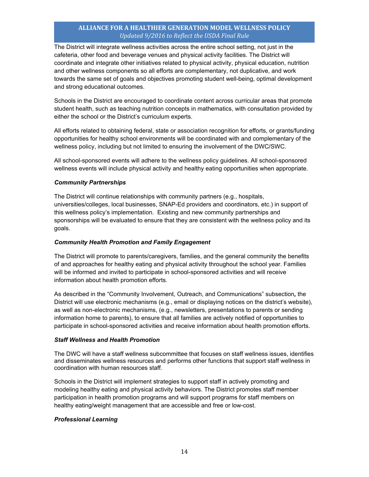The District will integrate wellness activities across the entire school setting, not just in the cafeteria, other food and beverage venues and physical activity facilities. The District will coordinate and integrate other initiatives related to physical activity, physical education, nutrition and other wellness components so all efforts are complementary, not duplicative, and work towards the same set of goals and objectives promoting student well-being, optimal development and strong educational outcomes.

Schools in the District are encouraged to coordinate content across curricular areas that promote student health, such as teaching nutrition concepts in mathematics, with consultation provided by either the school or the District's curriculum experts.

All efforts related to obtaining federal, state or association recognition for efforts, or grants/funding opportunities for healthy school environments will be coordinated with and complementary of the wellness policy, including but not limited to ensuring the involvement of the DWC/SWC.

All school-sponsored events will adhere to the wellness policy guidelines. All school-sponsored wellness events will include physical activity and healthy eating opportunities when appropriate.

#### *Community Partnerships*

The District will continue relationships with community partners (e.g., hospitals, universities/colleges, local businesses, SNAP-Ed providers and coordinators, etc.) in support of this wellness policy's implementation. Existing and new community partnerships and sponsorships will be evaluated to ensure that they are consistent with the wellness policy and its goals.

#### *Community Health Promotion and Family Engagement*

The District will promote to parents/caregivers, families, and the general community the benefits of and approaches for healthy eating and physical activity throughout the school year. Families will be informed and invited to participate in school-sponsored activities and will receive information about health promotion efforts.

As described in the "Community Involvement, Outreach, and Communications" subsection*,* the District will use electronic mechanisms (e.g., email or displaying notices on the district's website), as well as non-electronic mechanisms, (e.g., newsletters, presentations to parents or sending information home to parents), to ensure that all families are actively notified of opportunities to participate in school-sponsored activities and receive information about health promotion efforts.

#### *Staff Wellness and Health Promotion*

The DWC will have a staff wellness subcommittee that focuses on staff wellness issues, identifies and disseminates wellness resources and performs other functions that support staff wellness in coordination with human resources staff.

Schools in the District will implement strategies to support staff in actively promoting and modeling healthy eating and physical activity behaviors. The District promotes staff member participation in health promotion programs and will support programs for staff members on healthy eating/weight management that are accessible and free or low-cost.

#### *Professional Learning*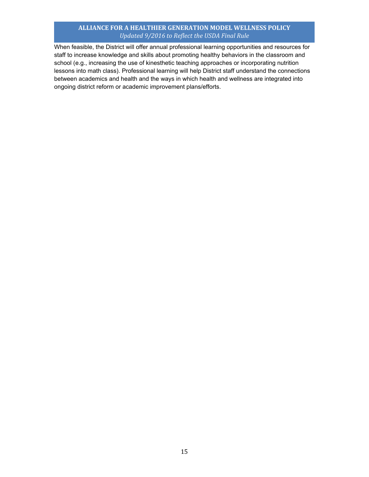When feasible, the District will offer annual professional learning opportunities and resources for staff to increase knowledge and skills about promoting healthy behaviors in the classroom and school (e.g., increasing the use of kinesthetic teaching approaches or incorporating nutrition lessons into math class). Professional learning will help District staff understand the connections between academics and health and the ways in which health and wellness are integrated into ongoing district reform or academic improvement plans/efforts.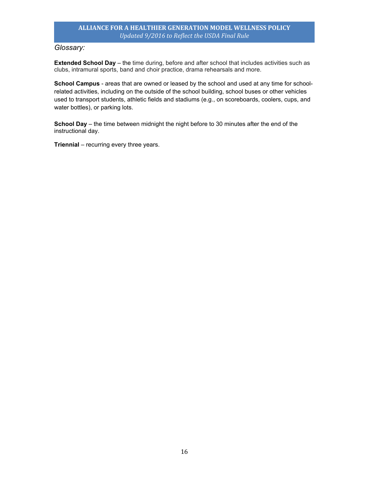## *Glossary:*

**Extended School Day** – the time during, before and after school that includes activities such as clubs, intramural sports, band and choir practice, drama rehearsals and more.

**School Campus** - areas that are owned or leased by the school and used at any time for schoolrelated activities, including on the outside of the school building, school buses or other vehicles used to transport students, athletic fields and stadiums (e.g., on scoreboards, coolers, cups, and water bottles), or parking lots.

**School Day** – the time between midnight the night before to 30 minutes after the end of the instructional day.

**Triennial** – recurring every three years.